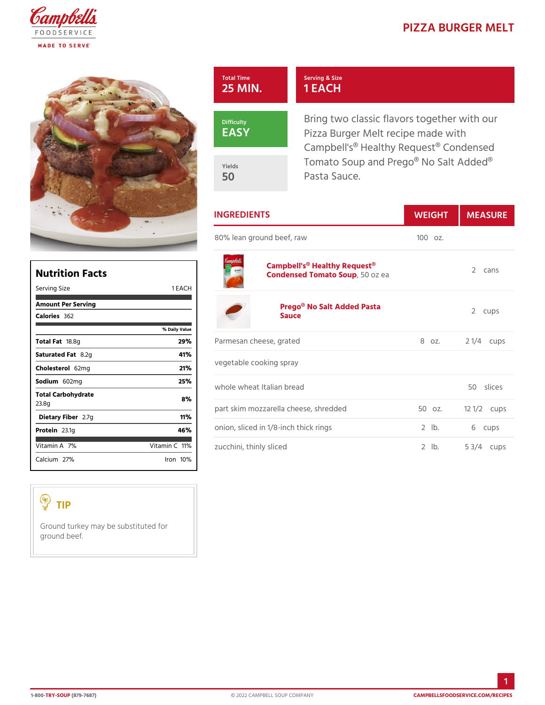| Total Time<br>25 MIN. | Serving & Size<br>1 EACH                                                                          |  |
|-----------------------|---------------------------------------------------------------------------------------------------|--|
| Difficulty<br>EASY    | Bring two classic flavors togeth<br>Pizza Burger Melt recipe made<br>Campbell's® Healthy Request® |  |
| Yields<br>50          | Tomato Soup and Prego® No Sa<br>Pasta Sauce.                                                      |  |
| IN C D E D I E N T S  | $M \sqsubset L$<br>MEACH                                                                          |  |

|                                                  |                            | 1 IN O IN L D I L IN I O                                                        | $VV E I G \Pi$ | <b>IVIEAJU</b>       |
|--------------------------------------------------|----------------------------|---------------------------------------------------------------------------------|----------------|----------------------|
|                                                  |                            | 80% lean ground beef, raw                                                       | $1000z$ .      |                      |
| <b>Nutrition Facts</b><br>1 EACH<br>Serving Size |                            | Campbell's <sup>®</sup> Healthy Request <sup>®</sup><br>Condensed Tomat50Soupea |                | 2 cans               |
| Amount Per Serving<br>Calorie3s62                |                            | Prego® No Salt Added Pasta<br>Sauce                                             |                | 2 cups               |
|                                                  | % Daily Value              |                                                                                 |                |                      |
| Total Fa8.8g                                     | 29%                        | Parmesan cheese, grated                                                         | 8 oz.          | 2 $1/4c$ ups         |
| Saturated 8F. 2tg                                | 41%                        |                                                                                 |                |                      |
| Choleste 62mg                                    | 21%                        | vegetable cooking spray                                                         |                |                      |
| Sodium602mg                                      | 25%                        | whole wheat Italian bread                                                       |                | 50 slices            |
| Total Carbohydrate<br>23.8g                      | 8 %                        |                                                                                 |                | $12 \frac{1}{2}$ ups |
| Dietary F21b7eg                                  | 11%                        | part skim mozzarella cheese, shredo5o0doz.                                      |                |                      |
| Protei <sub>23.1g</sub>                          | 46%                        | onion, sliced in 1/8-inch thick rings 2 lb.                                     |                | 6 cups               |
| Vitamin $7A0$                                    | $V$ itamin1 $\mathbb{C}$ % | zucchini, thinly sliced                                                         | $2$ $1b$ .     | $5 \frac{3}{4}$ cups |
| Calciu2n7%                                       | $l$ ron 10 $\%$            |                                                                                 |                |                      |

## TIP

Ground turkey may be substituted for ground beef.